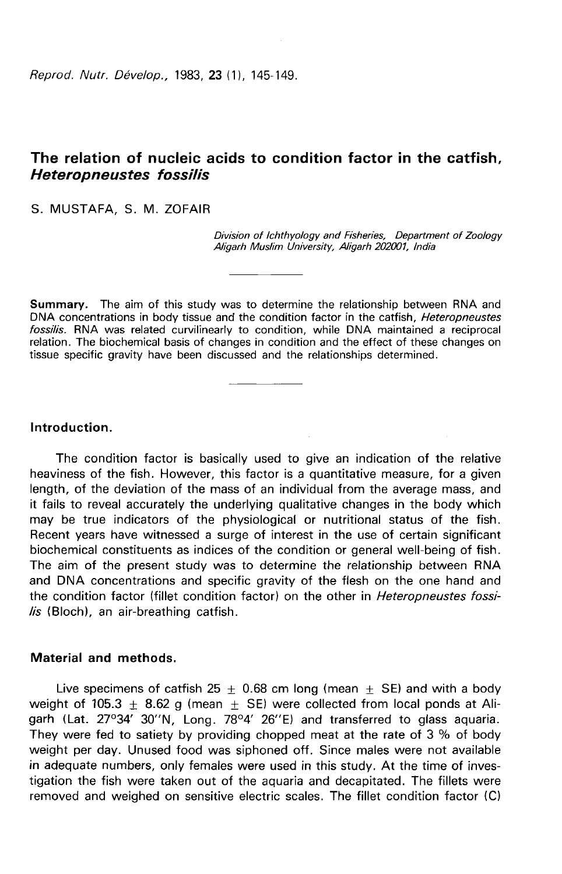Reprod. Nutr. Dévelop., 1983. 23 (1), 145-149.

# The relation of nucleic acids to condition factor in the catfish, Heteropneustes fossilis

### S. MUSTAFA, S. M. ZOFAIR

Division of Ichthvology and Fisheries, Department of Zoology Aligarh Muslim University, Aligarh 202001, India

Summary. The aim of this study was to determine the relationship between RNA and DNA concentrations in body tissue and the condition factor in the catfish, Heteropneustes fossilis. RNA was related curvilinearly to condition, while DNA maintained a reciprocal relation. The biochemical basis of changes in condition and the effect of these changes on tissue specific gravity have been discussed and the relationships determined.

## Introduction.

The condition factor is basically used to give an indication of the relative heaviness of the fish. However, this factor is a quantitative measure, for a given length, of the deviation of the mass of an individual from the average mass, and it fails to reveal accurately the underlying qualitative changes in the body which may be true indicators of the physiological or nutritional status of the fish. Recent years have witnessed a surge of interest in the use of certain significant biochemical constituents as indices of the condition or general well-being of fish. The aim of the present study was to determine the relationship between RNA and DNA concentrations and specific gravity of the flesh on the one hand and the condition factor (fillet condition factor) on the other in Heteropneustes fossilis (Bloch), an air-breathing catfish.

#### Material and methods.

Live specimens of catfish 25  $\pm$  0.68 cm long (mean  $\pm$  SE) and with a body weight of 105.3  $\pm$  8.62 g (mean  $\pm$  SE) were collected from local ponds at Aligarh (Lat.  $27^{\circ}34'$  30"N. Long. 78°4' 26"E) and transferred to glass aquaria. They were fed to satiety by providing chopped meat at the rate of 3 % of body weight per day. Unused food was siphoned off. Since males were not available in adequate numbers, only females were used in this study. At the time of investigation the fish were taken out of the aquaria and decapitated. The fillets were removed and weighed on sensitive electric scales. The fillet condition factor (C)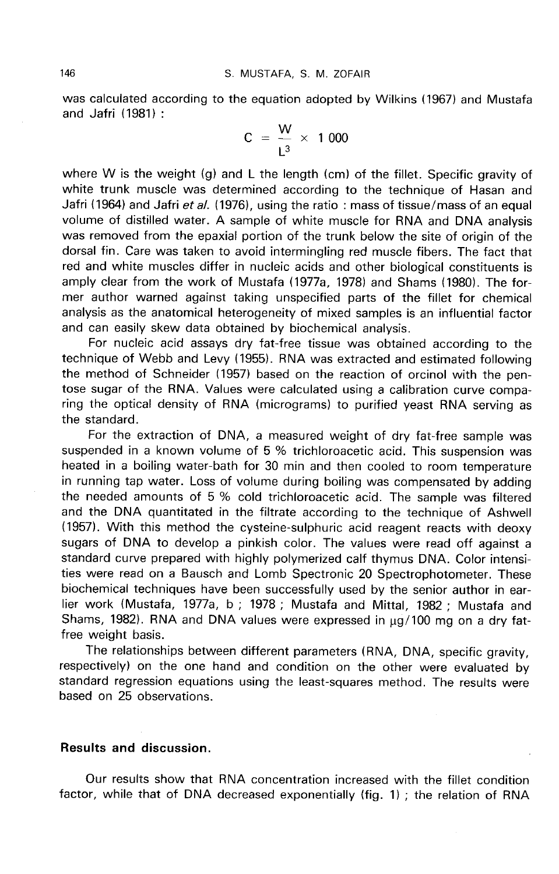was calculated according to the equation adopted by Wilkins (1967) and Mustafa and Jafri (1981) :

$$
C = \frac{W}{L^3} \times 1000
$$

where W is the weight (g) and L the length (cm) of the fillet. Specific gravity of white trunk muscle was determined according to the technique of Hasan and Jafri (1964) and Jafri et al. (1976), using the ratio : mass of tissue/mass of an equal volume of distilled water. A sample of white muscle for RNA and DNA analysis was removed from the epaxial portion of the trunk below the site of origin of the dorsal fin. Care was taken to avoid intermingling red muscle fibers. The fact that red and white muscles differ in nucleic acids and other biological constituents is amply clear from the work of Mustafa (1977a, 1978) and Shams (1980). The former author warned against taking unspecified parts of the fillet for chemical analysis as the anatomical heterogeneity of mixed samples is an influential factor and can easily skew data obtained by biochemical analysis.

For nucleic acid assays dry fat-free tissue was obtained according to the technique of Webb and Levy (1955). RNA was extracted and estimated following the method of Schneider (1957) based on the reaction of orcinol with the pentose sugar of the RNA. Values were calculated using a calibration curve comparing the optical density of RNA (micrograms) to purified yeast RNA serving as the standard.

For the extraction of DNA, a measured weight of dry fat-free sample was suspended in a known volume of 5 % trichloroacetic acid. This suspension was heated in a boiling water-bath for 30 min and then cooled to room temperature in running tap water. Loss of volume during boiling was compensated by adding the needed amounts of 5 % cold trichloroacetic acid. The sample was filtered and the DNA quantitated in the filtrate according to the technique of Ashwell (1957). With this method the cysteine-sulphuric acid reagent reacts with deoxy sugars of DNA to develop a pinkish color. The values were read off against a standard curve prepared with highly polymerized calf thymus DNA. Color intensities were read on a Bausch and Lomb Spectronic 20 Spectrophotometer. These biochemical techniques have been successfully used by the senior author in earlier work (Mustafa, 1977a, b ; 1978 ; Mustafa and Mittal, 1982 ; Mustafa and Shams, 1982). RNA and DNA values were expressed in  $\mu$ g/100 mg on a dry fatfree weight basis.

The relationships between different parameters (RNA, DNA, specific gravity, respectively) on the one hand and condition on the other were evaluated by standard regression equations using the least-squares method. The results were based on 25 observations.

## Results and discussion.

Our results show that RNA concentration increased with the fillet condition factor, while that of DNA decreased exponentially (fig. 1) ; the relation of RNA

146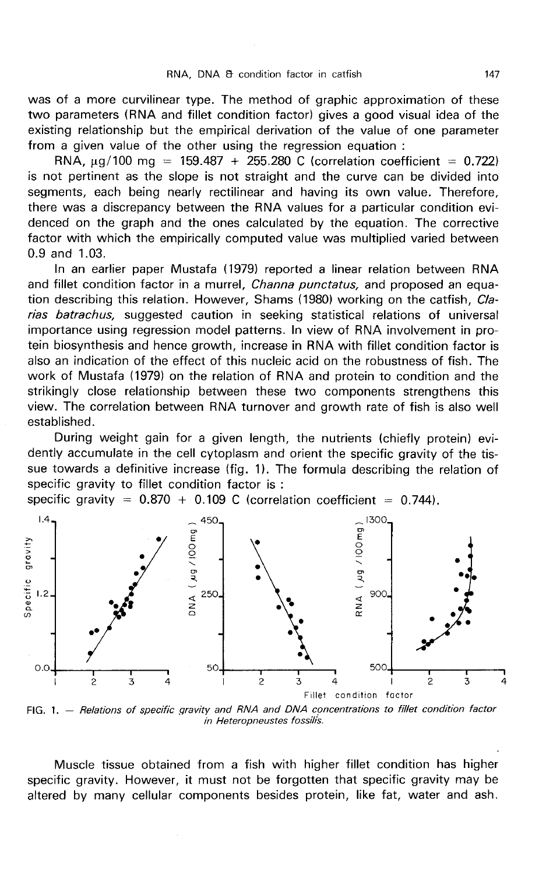was of a more curvilinear type. The method of graphic approximation of these two parameters (RNA and fillet condition factor) gives a good visual idea of the existing relationship but the empirical derivation of the value of one parameter from a given value of the other using the regression equation :

RNA,  $\mu$ g/100 mg = 159.487 + 255.280 C (correlation coefficient = 0.722) is not pertinent as the slope is not straight and the curve can be divided into segments, each being nearly rectilinear and having its own value. Therefore, there was a discrepancy between the RNA values for a particular condition evidenced on the graph and the ones calculated by the equation. The corrective factor with which the empirically computed value was multiplied varied between 0.9 and 1.03.

In an earlier paper Mustafa (1979) reported a linear relation between RNA and fillet condition factor in a murrel, *Channa punctatus*, and proposed an equation describing this relation. However, Shams (1980) working on the catfish, Clarias batrachus, suggested caution in seeking statistical relations of universal importance using regression model patterns. In view of RNA involvement in protein biosynthesis and hence growth, increase in RNA with fillet condition factor is also an indication of the effect of this nucleic acid on the robustness of fish. The work of Mustafa (1979) on the relation of RNA and protein to condition and the strikingly close relationship between these two components strengthens this view. The correlation between RNA turnover and growth rate of fish is also well established.

During weight gain for a given length, the nutrients (chiefly protein) evidently accumulate in the cell cytoplasm and orient the specific gravity of the tissue towards a definitive increase (fig. 1). The formula describing the relation of specific gravity to fillet condition factor is :



FIG. 1. - Relations of specific gravity and RNA and DNA concentrations to fillet condition factor in Heteropneustes fossilis.

Muscle tissue obtained from a fish with higher fillet condition has higher specific gravity. However, it must not be forgotten that specific gravity may be altered by many cellular components besides protein, like fat, water and ash.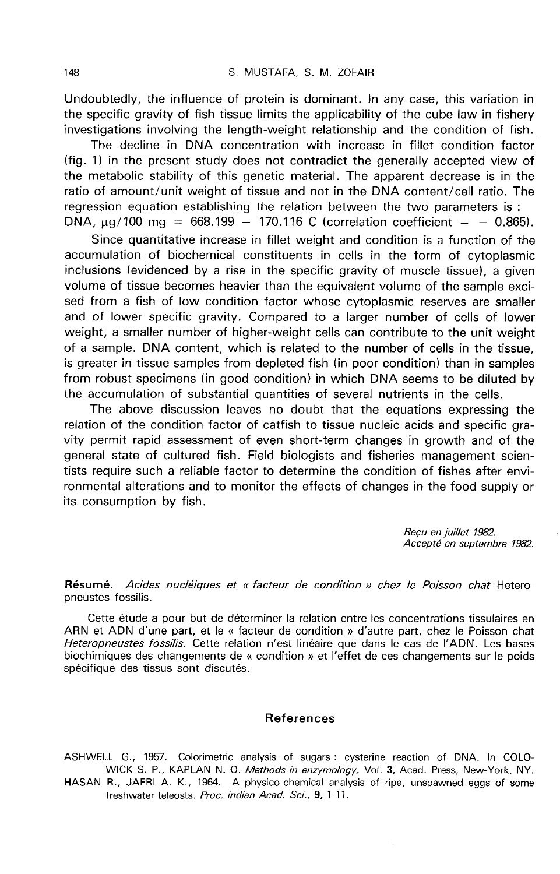Undoubtedly, the influence of protein is dominant. In any case, this variation in the specific gravity of fish tissue limits the applicability of the cube law in fishery investigations involving the length-weight relationship and the condition of fish.

The decline in DNA concentration with increase in fillet condition factor (fig. 1) in the present study does not contradict the generally accepted view of the metabolic stability of this genetic material. The apparent decrease is in the ratio of amount/unit weight of tissue and not in the DNA content/cell ratio. The regression equation establishing the relation between the two parameters is : DNA,  $\mu$ g/100 mg = 668.199 - 170.116 C (correlation coefficient = - 0.865).

Since quantitative increase in fillet weight and condition is a function of the accumulation of biochemical constituents in cells in the form of cytoplasmic inclusions (evidenced by a rise in the specific gravity of muscle tissue), a given volume of tissue becomes heavier than the equivalent volume of the sample excised from a fish of low condition factor whose cytoplasmic reserves are smaller and of lower specific gravity. Compared to a larger number of cells of lower weight, a smaller number of higher-weight cells can contribute to the unit weight of a sample. DNA content, which is related to the number of cells in the tissue, is greater in tissue samples from depleted fish (in poor condition) than in samples from robust specimens (in good condition) in which DNA seems to be diluted by the accumulation of substantial quantities of several nutrients in the cells.

The above discussion leaves no doubt that the equations expressing the relation of the condition factor of catfish to tissue nucleic acids and specific gravity permit rapid assessment of even short-term changes in growth and of the general state of cultured fish. Field biologists and fisheries management scientists require such a reliable factor to determine the condition of fishes after environmental alterations and to monitor the effects of changes in the food supply or its consumption by fish.

> Recu en juillet 1982. Accepté en septembre 1982.

Résumé. Acides nucléiques et « facteur de condition » chez le Poisson chat Heteropneustes fossilis.

Cette étude a pour but de déterminer la relation entre les concentrations tissulaires en ARN et ADN d'une part, et le « facteur de condition » d'autre part, chez le Poisson chat Heteropneustes fossilis. Cette relation n'est linéaire que dans le cas de l'ADN. Les bases biochimiques des changements de « condition » et l'effet de ces changements sur le poids spécifique des tissus sont discutés.

#### References

ASHWELL G., 1957. Colorimetric analysis of sugars : cysterine reaction of DNA. In COLO-WICK S. P., KAPLAN N. O. Methods in enzymology, Vol. 3, Acad. Press, New-York, NY.

HASAN R., JAFRI A. K., 1964. A physico-chemical analysis of ripe, unspawned eggs of some freshwater teleosts. Proc. indian Acad. Sci., 9, 1-11.